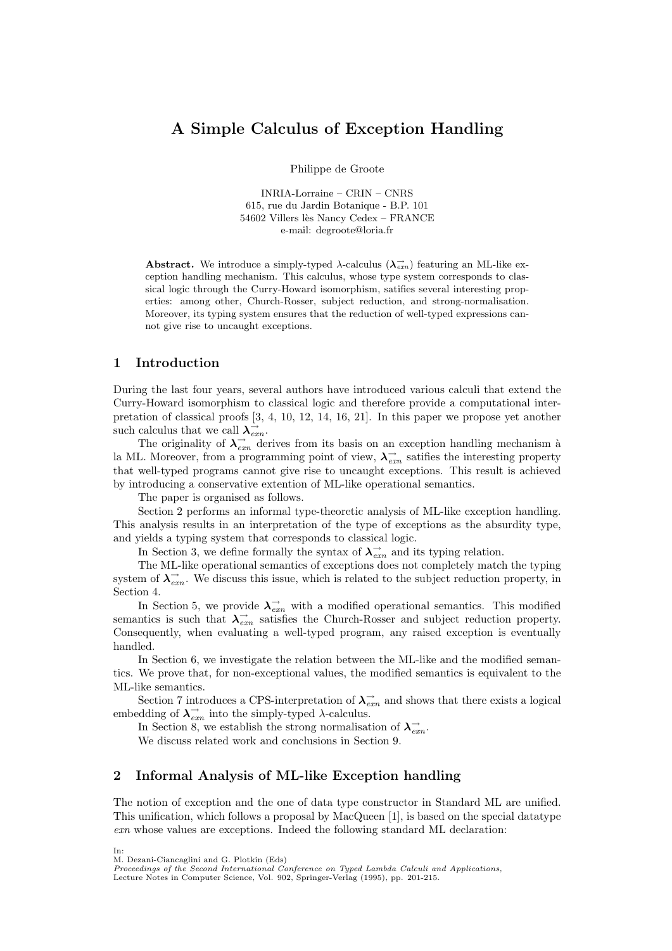# A Simple Calculus of Exception Handling

Philippe de Groote

INRIA-Lorraine – CRIN – CNRS 615, rue du Jardin Botanique - B.P. 101 54602 Villers lès Nancy Cedex – FRANCE e-mail: degroote@loria.fr

**Abstract.** We introduce a simply-typed  $\lambda$ -calculus  $(\lambda_{\text{exn}})$  featuring an ML-like exception handling mechanism. This calculus, whose type system corresponds to classical logic through the Curry-Howard isomorphism, satifies several interesting properties: among other, Church-Rosser, subject reduction, and strong-normalisation. Moreover, its typing system ensures that the reduction of well-typed expressions cannot give rise to uncaught exceptions.

### 1 Introduction

During the last four years, several authors have introduced various calculi that extend the Curry-Howard isomorphism to classical logic and therefore provide a computational interpretation of classical proofs [3, 4, 10, 12, 14, 16, 21]. In this paper we propose yet another such calculus that we call  $\lambda_{exn}^{\rightarrow}$ .

The originality of  $\lambda_{\text{can}}^{\rightarrow}$  derives from its basis on an exception handling mechanism à la ML. Moreover, from a programming point of view,  $\lambda_{exn}^{\rightarrow}$  satifies the interesting property that well-typed programs cannot give rise to uncaught exceptions. This result is achieved by introducing a conservative extention of ML-like operational semantics.

The paper is organised as follows.

Section 2 performs an informal type-theoretic analysis of ML-like exception handling. This analysis results in an interpretation of the type of exceptions as the absurdity type, and yields a typing system that corresponds to classical logic.

In Section 3, we define formally the syntax of  $\lambda_{exn}^{\rightarrow}$  and its typing relation.

The ML-like operational semantics of exceptions does not completely match the typing system of  $\lambda_{exn}^{\rightarrow}$ . We discuss this issue, which is related to the subject reduction property, in Section 4.

In Section 5, we provide  $\lambda_{exn}^{\rightarrow}$  with a modified operational semantics. This modified semantics is such that  $\lambda_{exn}^{\rightarrow}$  satisfies the Church-Rosser and subject reduction property. Consequently, when evaluating a well-typed program, any raised exception is eventually handled.

In Section 6, we investigate the relation between the ML-like and the modified semantics. We prove that, for non-exceptional values, the modified semantics is equivalent to the ML-like semantics.

Section 7 introduces a CPS-interpretation of  $\lambda_{exn}^{\rightarrow}$  and shows that there exists a logical embedding of  $\lambda_{exn}^{\rightarrow}$  into the simply-typed  $\lambda$ -calculus.

In Section 8, we establish the strong normalisation of  $\lambda_{\text{can}}^{\rightarrow}$ . We discuss related work and conclusions in Section 9.

# 2 Informal Analysis of ML-like Exception handling

The notion of exception and the one of data type constructor in Standard ML are unified. This unification, which follows a proposal by MacQueen [1], is based on the special datatype exn whose values are exceptions. Indeed the following standard ML declaration:

In: M. Dezani-Ciancaglini and G. Plotkin (Eds)

Proceedings of the Second International Conference on Typed Lambda Calculi and Applications,

Lecture Notes in Computer Science, Vol. 902, Springer-Verlag (1995), pp. 201-215.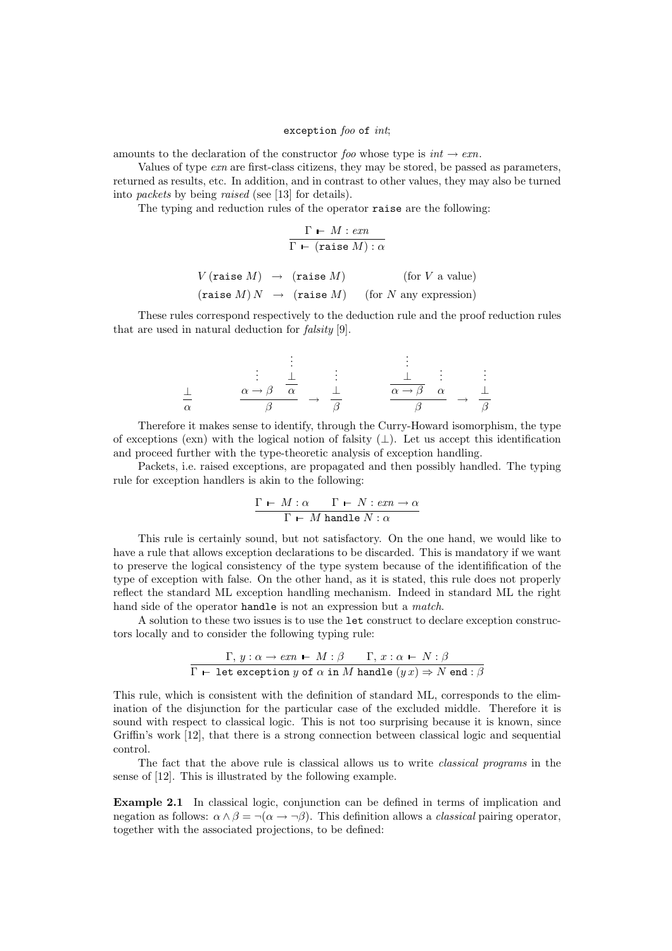amounts to the declaration of the constructor foo whose type is  $int \rightarrow exn$ .

Values of type exn are first-class citizens, they may be stored, be passed as parameters, returned as results, etc. In addition, and in contrast to other values, they may also be turned into packets by being raised (see [13] for details).

The typing and reduction rules of the operator raise are the following:

$$
\Gamma \vdash M : \text{earn}
$$
\n
$$
\Gamma \vdash (\text{raise } M) : \alpha
$$
\n
$$
V (\text{raise } M) \rightarrow (\text{raise } M) \qquad \text{(for } V \text{ a value)}
$$
\n
$$
(\text{raise } M) \rightarrow (\text{raise } M) \qquad \text{(for } N \text{ any expression})
$$

These rules correspond respectively to the deduction rule and the proof reduction rules that are used in natural deduction for falsity [9].

$$
\frac{1}{\alpha} \qquad \frac{\vdots}{\alpha \rightarrow \beta} \frac{\vdots}{\alpha} \rightarrow \frac{\vdots}{\beta} \qquad \frac{\vdots}{\alpha \rightarrow \beta} \frac{\vdots}{\alpha} \rightarrow \frac{\vdots}{\beta}
$$

Therefore it makes sense to identify, through the Curry-Howard isomorphism, the type of exceptions (exn) with the logical notion of falsity  $(\perp)$ . Let us accept this identification and proceed further with the type-theoretic analysis of exception handling.

Packets, i.e. raised exceptions, are propagated and then possibly handled. The typing rule for exception handlers is akin to the following:

$$
\frac{\Gamma \vdash M : \alpha \qquad \Gamma \vdash N : \text{exn} \to \alpha}{\Gamma \vdash M \text{ handle } N : \alpha}
$$

This rule is certainly sound, but not satisfactory. On the one hand, we would like to have a rule that allows exception declarations to be discarded. This is mandatory if we want to preserve the logical consistency of the type system because of the identifification of the type of exception with false. On the other hand, as it is stated, this rule does not properly reflect the standard ML exception handling mechanism. Indeed in standard ML the right hand side of the operator handle is not an expression but a match.

A solution to these two issues is to use the let construct to declare exception constructors locally and to consider the following typing rule:

$$
\frac{\Gamma, y : \alpha \to \text{exn} \vdash M : \beta \qquad \Gamma, x : \alpha \vdash N : \beta}{\Gamma \vdash \text{let exception } y \text{ of } \alpha \text{ in } M \text{ handle } (yx) \Rightarrow N \text{ end} : \beta}
$$

This rule, which is consistent with the definition of standard ML, corresponds to the elimination of the disjunction for the particular case of the excluded middle. Therefore it is sound with respect to classical logic. This is not too surprising because it is known, since Griffin's work [12], that there is a strong connection between classical logic and sequential control.

The fact that the above rule is classical allows us to write classical programs in the sense of [12]. This is illustrated by the following example.

Example 2.1 In classical logic, conjunction can be defined in terms of implication and negation as follows:  $\alpha \wedge \beta = \neg(\alpha \rightarrow \neg \beta)$ . This definition allows a *classical* pairing operator, together with the associated projections, to be defined: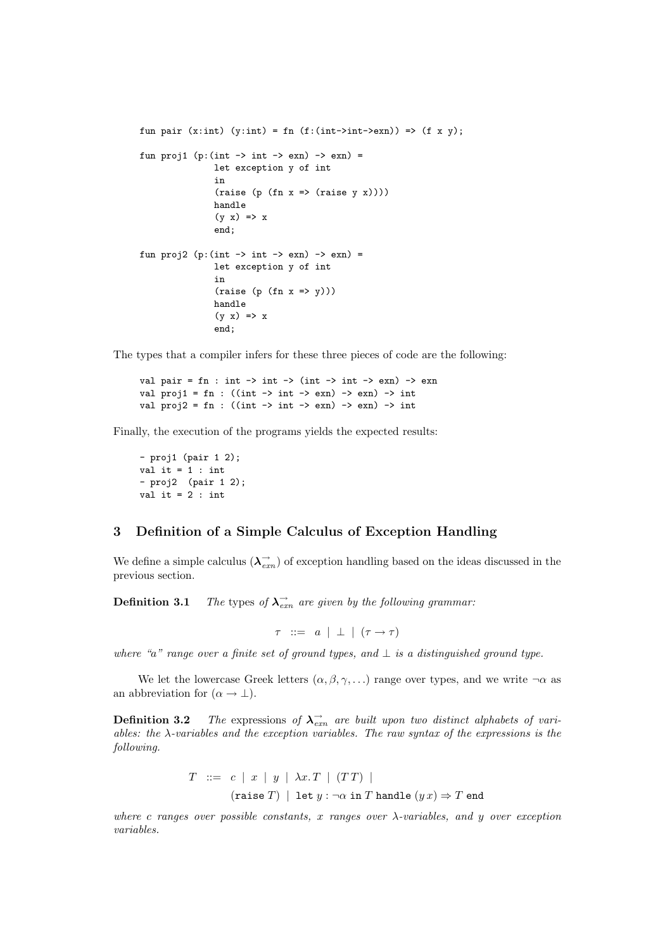```
fun pair (x:int) (y:int) = fn (f:(int->int->exn)) \Rightarrow (f \times y);fun proj1 (p: (int \rightarrow int \rightarrow \text{exn}) \rightarrow \text{exn}) =let exception y of int
                    in
                    (\text{raise } (p \text{ (fn x => (raise y x))))})handle
                    (y x) \Rightarrow xend;
fun proj2 (p:(int \rightarrow int \rightarrow exn) \rightarrow exn) =
                    let exception y of int
                    in
                    (\text{raise } (p \text{ (fn } x => y)))handle
                    (y x) \Rightarrow xend;
```
The types that a compiler infers for these three pieces of code are the following:

val pair = fn : int  $\rightarrow$  int  $\rightarrow$  (int  $\rightarrow$  int  $\rightarrow$  exn)  $\rightarrow$  exn val proj $1 = fn : ((int \rightarrow int \rightarrow ext) \rightarrow ext)$  -> int val  $proj2 = fn : ((int \rightarrow int \rightarrow ext \rightarrow exn) \rightarrow ext$ 

Finally, the execution of the programs yields the expected results:

- proj1 (pair 1 2); val it  $= 1$  : int - proj2 (pair 1 2); val it =  $2$  : int

### 3 Definition of a Simple Calculus of Exception Handling

We define a simple calculus  $(\lambda_{\text{exn}}^{\rightarrow})$  of exception handling based on the ideas discussed in the previous section.

**Definition 3.1** The types of  $\lambda_{exn}^{\rightarrow}$  are given by the following grammar:

 $\tau$  ::= a |  $\perp$  |  $(\tau \rightarrow \tau)$ 

where "a" range over a finite set of ground types, and  $\perp$  is a distinguished ground type.

We let the lowercase Greek letters  $(\alpha, \beta, \gamma, ...)$  range over types, and we write  $\neg \alpha$  as an abbreviation for  $(\alpha \rightarrow \bot)$ .

**Definition 3.2** The expressions of  $\lambda_{exn}$  are built upon two distinct alphabets of variables: the  $\lambda$ -variables and the exception variables. The raw syntax of the expressions is the following.

$$
T \ ::= \ c \ | \ x \ | \ y \ | \ \lambda x. T \ | \ (TT) \ |
$$
  
(raise T) \ | let  $y : \neg \alpha$  in T handle  $(yx) \Rightarrow T$  end

where c ranges over possible constants, x ranges over  $\lambda$ -variables, and y over exception variables.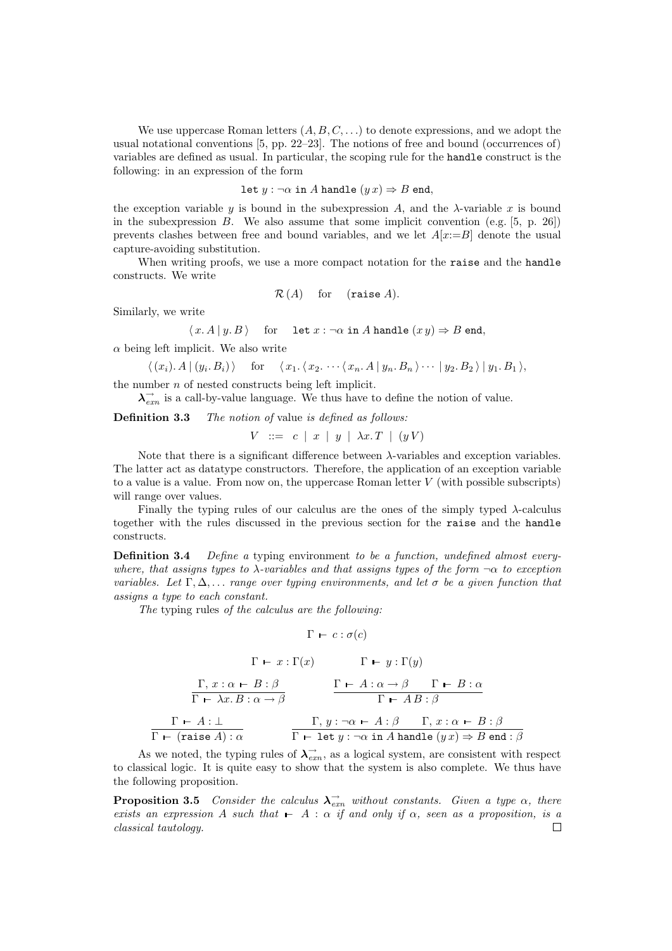We use uppercase Roman letters  $(A, B, C, \ldots)$  to denote expressions, and we adopt the usual notational conventions [5, pp. 22–23]. The notions of free and bound (occurrences of) variables are defined as usual. In particular, the scoping rule for the handle construct is the following: in an expression of the form

let  $y : \neg \alpha$  in A handle  $(y x) \Rightarrow B$  end,

the exception variable y is bound in the subexpression A, and the  $\lambda$ -variable x is bound in the subexpression  $B$ . We also assume that some implicit convention (e.g.  $[5, p. 26]$ ) prevents clashes between free and bound variables, and we let  $A[x:=B]$  denote the usual capture-avoiding substitution.

When writing proofs, we use a more compact notation for the raise and the handle constructs. We write

$$
\mathcal{R}(A)
$$
 for (raise A).

Similarly, we write

 $\langle x. A | y. B \rangle$  for let  $x : \neg \alpha$  in A handle  $(x y) \Rightarrow B$  end,

 $\alpha$  being left implicit. We also write

 $\langle (x_i) \, A \, | \, (y_i, B_i) \rangle$  for  $\langle x_1, \langle x_2, \cdots \langle x_n, A \, | \, y_n, B_n \rangle \cdots \langle y_2, B_2 \rangle \, | \, y_1, B_1 \rangle$ 

the number  $n$  of nested constructs being left implicit.

 $\lambda_{\text{exn}}^{\rightarrow}$  is a call-by-value language. We thus have to define the notion of value.

Definition 3.3 The notion of value is defined as follows:

 $V \ ::= c \mid x \mid y \mid \lambda x \cdot T \mid (y V)$ 

Note that there is a significant difference between  $\lambda$ -variables and exception variables. The latter act as datatype constructors. Therefore, the application of an exception variable to a value is a value. From now on, the uppercase Roman letter V (with possible subscripts) will range over values.

Finally the typing rules of our calculus are the ones of the simply typed  $\lambda$ -calculus together with the rules discussed in the previous section for the raise and the handle constructs.

**Definition 3.4** Define a typing environment to be a function, undefined almost everywhere, that assigns types to  $\lambda$ -variables and that assigns types of the form  $\neg \alpha$  to exception variables. Let  $\Gamma, \Delta, \ldots$  range over typing environments, and let  $\sigma$  be a given function that assigns a type to each constant.

The typing rules of the calculus are the following:

$$
\Gamma \vdash c : \sigma(c)
$$

$$
\Gamma \vdash x : \Gamma(x) \qquad \Gamma \vdash y : \Gamma(y)
$$
\n
$$
\frac{\Gamma, x : \alpha \vdash B : \beta}{\Gamma \vdash \lambda x. B : \alpha \to \beta} \qquad \frac{\Gamma \vdash A : \alpha \to \beta \qquad \Gamma \vdash B : \alpha}{\Gamma \vdash AB : \beta}
$$
\n
$$
\frac{\Gamma \vdash A : \bot}{\Gamma \vdash (\text{raise } A) : \alpha} \qquad \frac{\Gamma, y : \neg \alpha \vdash A : \beta \qquad \Gamma, x : \alpha \vdash B : \beta}{\Gamma \vdash \text{let } y : \neg \alpha \text{ in } A \text{ handle } (yx) \Rightarrow B \text{ end } : \beta}
$$

As we noted, the typing rules of  $\lambda_{\text{exn}}^{\rightarrow}$ , as a logical system, are consistent with respect to classical logic. It is quite easy to show that the system is also complete. We thus have the following proposition.

**Proposition 3.5** Consider the calculus  $\lambda_{exn}^{\rightarrow}$  without constants. Given a type  $\alpha$ , there exists an expression A such that  $\vdash$  A :  $\alpha$  if and only if  $\alpha$ , seen as a proposition, is a classical tautology. $\Box$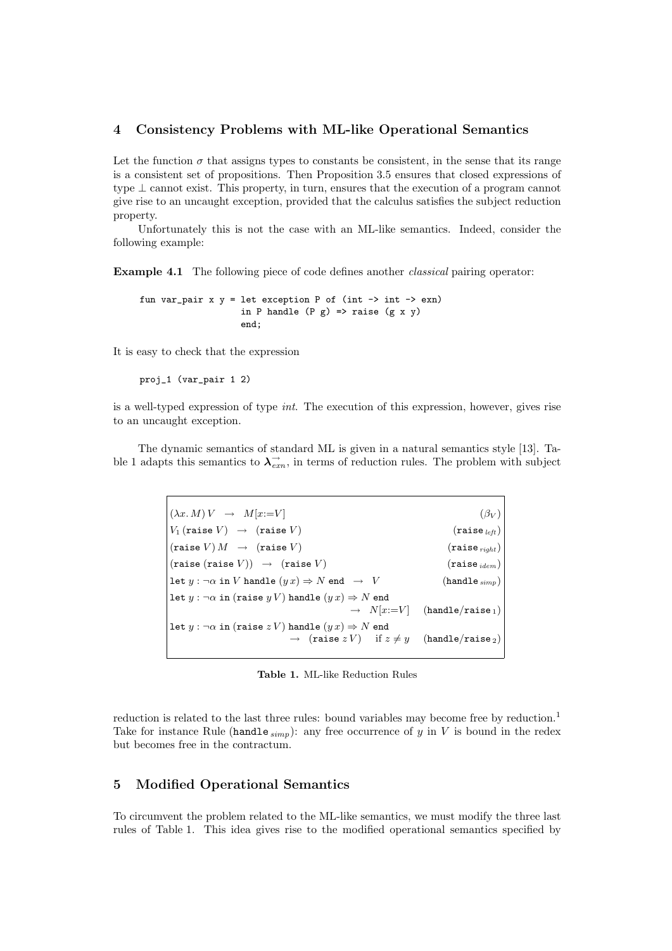### 4 Consistency Problems with ML-like Operational Semantics

Let the function  $\sigma$  that assigns types to constants be consistent, in the sense that its range is a consistent set of propositions. Then Proposition 3.5 ensures that closed expressions of type ⊥ cannot exist. This property, in turn, ensures that the execution of a program cannot give rise to an uncaught exception, provided that the calculus satisfies the subject reduction property.

Unfortunately this is not the case with an ML-like semantics. Indeed, consider the following example:

Example 4.1 The following piece of code defines another classical pairing operator:

```
fun var_pair x y = let exception P of (int \rightarrow int \rightarrow exn)
                        in P handle (P g) \Rightarrow raise (g x y)end;
```
It is easy to check that the expression

proj\_1 (var\_pair 1 2)

is a well-typed expression of type int. The execution of this expression, however, gives rise to an uncaught exception.

The dynamic semantics of standard ML is given in a natural semantics style [13]. Table 1 adapts this semantics to  $\lambda_{\text{can}}^{\rightarrow}$ , in terms of reduction rules. The problem with subject

| $(\lambda x. M)V \rightarrow M[x:=V]$                                                               | $(\beta_V)$                                        |
|-----------------------------------------------------------------------------------------------------|----------------------------------------------------|
| $ V_1$ (raise $V$ ) $\;\rightarrow\;$ (raise $V$ )                                                  | $(\texttt{raise\,left})$                           |
| $\big\vert$ (raise $V(M \rightarrow$ (raise $V)$ )                                                  | $(\texttt{raise}~_{right})\vert$                   |
| $ (\texttt{raise}(V)) \rightarrow (\texttt{raise}(V)) $                                             | $(\texttt{raise }_{idem})$                         |
| $ \det y : \neg \alpha \text{ in } V \text{ handle } (yx) \Rightarrow N \text{ end } \rightarrow V$ | $(\mathtt{handle}_{simp})$                         |
| let $y : \neg \alpha$ in (raise $y V$ ) handle $(y x) \Rightarrow N$ end                            |                                                    |
|                                                                                                     | $\rightarrow N[x:=V]$ (handle/raise <sub>1</sub> ) |
| $ \det y:\neg\alpha\text{ in }(\texttt{raise }z V)\text{ handle }(y\,x)\Rightarrow N$ end           |                                                    |
| $\rightarrow$ (raise $zV$ ) if $z \neq y$ (handle/raise <sub>2</sub> )                              |                                                    |

Table 1. ML-like Reduction Rules

reduction is related to the last three rules: bound variables may become free by reduction.<sup>1</sup> Take for instance Rule (handle  $_{simp}$ ): any free occurrence of y in V is bound in the redex but becomes free in the contractum.

## 5 Modified Operational Semantics

To circumvent the problem related to the ML-like semantics, we must modify the three last rules of Table 1. This idea gives rise to the modified operational semantics specified by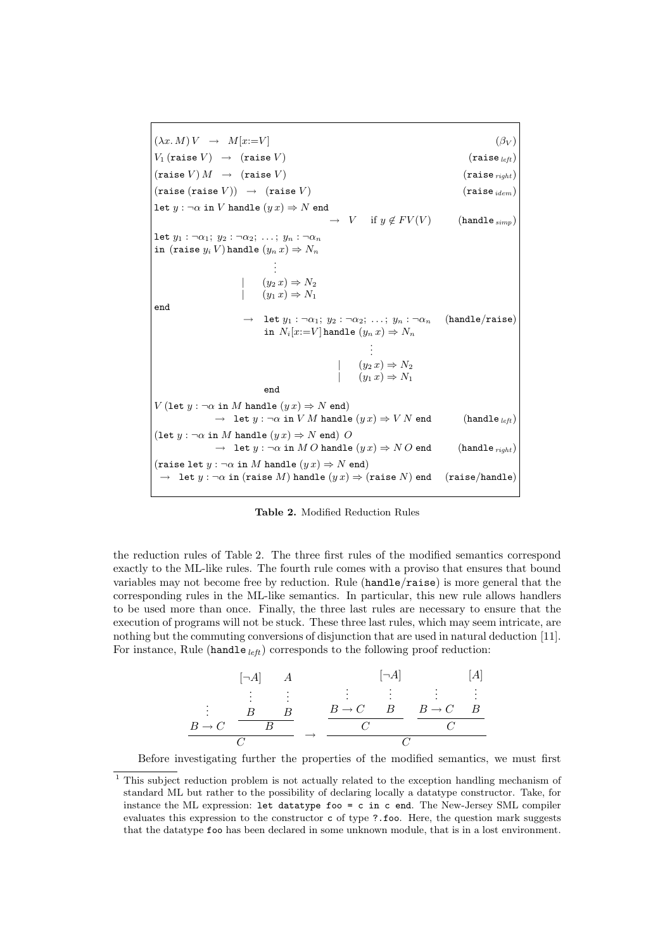$(\lambda x. M)V \rightarrow M[x:=V]$  (β<sub>V</sub>)  $V_1$  (raise  $V$ )  $\rightarrow$  (raise  $V$ ) (raise  $_{left}$ )  $(\texttt{raise }V)~M~~\rightarrow~~(\texttt{raise }V)$  (raise  $V)$  $(\texttt{raise }V) ) \rightarrow (\texttt{raise }V)$  (raise  $(V)$ ) let  $y : \neg \alpha$  in V handle  $(y x) \Rightarrow N$  end  $V$  if  $y \notin FV(V)$  (handle  $_{simp}$ ) let  $y_1 : \neg \alpha_1; y_2 : \neg \alpha_2; \ldots; y_n : \neg \alpha_n$ in (raise  $y_i V$ ) handle  $(y_n x) \Rightarrow N_n$ . . .  $(y_2 x) \Rightarrow N_2$  $(y_1 x) \Rightarrow N_1$ end  $\rightarrow$  let  $y_1 : \neg \alpha_1; y_2 : \neg \alpha_2; \ldots; y_n : \neg \alpha_n$ in  $N_i[x:=V]$  handle  $(y_n x) \Rightarrow N_n$ . . .  $(y_2 x) \Rightarrow N_2$  $(y_1 x) \Rightarrow N_1$ end (handle/raise)  $V$  (let  $y : \neg \alpha$  in M handle  $(y x) \Rightarrow N$  end)  $\rightarrow$  let  $y : \neg \alpha$  in  $V M$  handle  $(y x) \Rightarrow V N$  end (handle  $_{left}$ ) (let  $y : \neg \alpha$  in M handle  $(y x) \Rightarrow N$  end) O  $\rightarrow$  let  $y : \neg \alpha$  in  $M O$  handle  $(yx) \Rightarrow NO$  end (handle  $_{right}$ ) (raise let  $y : \neg \alpha$  in M handle  $(y x) \Rightarrow N$  end)  $\rightarrow$  let  $y : \neg \alpha$  in (raise M) handle  $(y x) \Rightarrow$  (raise N) end (raise/handle)

Table 2. Modified Reduction Rules

the reduction rules of Table 2. The three first rules of the modified semantics correspond exactly to the ML-like rules. The fourth rule comes with a proviso that ensures that bound variables may not become free by reduction. Rule (handle/raise) is more general that the corresponding rules in the ML-like semantics. In particular, this new rule allows handlers to be used more than once. Finally, the three last rules are necessary to ensure that the execution of programs will not be stuck. These three last rules, which may seem intricate, are nothing but the commuting conversions of disjunction that are used in natural deduction [11]. For instance, Rule (handle  $_{left}$ ) corresponds to the following proof reduction:

$$
\begin{array}{ccc}\n[-A] & A & & [\neg A] & [A] \\
\vdots & \vdots & \vdots & \vdots & \vdots \\
B & B & B & \xrightarrow{B \rightarrow C} B & B \rightarrow C & B \\
\hline\nC & & & C & & C\n\end{array}
$$

Before investigating further the properties of the modified semantics, we must first

<sup>&</sup>lt;sup>1</sup> This subject reduction problem is not actually related to the exception handling mechanism of standard ML but rather to the possibility of declaring locally a datatype constructor. Take, for instance the ML expression: let datatype foo = c in c end. The New-Jersey SML compiler evaluates this expression to the constructor c of type ?.foo. Here, the question mark suggests that the datatype foo has been declared in some unknown module, that is in a lost environment.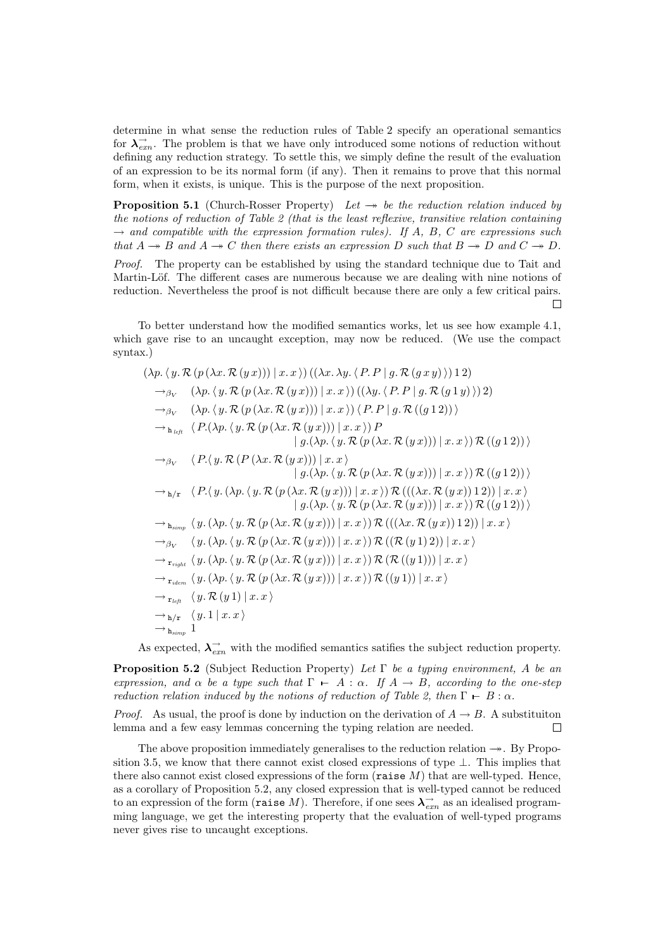determine in what sense the reduction rules of Table 2 specify an operational semantics for  $\lambda_{exn}^{\rightarrow}$ . The problem is that we have only introduced some notions of reduction without defining any reduction strategy. To settle this, we simply define the result of the evaluation of an expression to be its normal form (if any). Then it remains to prove that this normal form, when it exists, is unique. This is the purpose of the next proposition.

**Proposition 5.1** (Church-Rosser Property) Let  $\rightarrow$  be the reduction relation induced by the notions of reduction of Table 2 (that is the least reflexive, transitive relation containing  $\rightarrow$  and compatible with the expression formation rules). If A, B, C are expressions such that  $A \rightarrow B$  and  $A \rightarrow C$  then there exists an expression D such that  $B \rightarrow D$  and  $C \rightarrow D$ .

Proof. The property can be established by using the standard technique due to Tait and Martin-Löf. The different cases are numerous because we are dealing with nine notions of reduction. Nevertheless the proof is not difficult because there are only a few critical pairs.  $\Box$ 

To better understand how the modified semantics works, let us see how example 4.1, which gave rise to an uncaught exception, may now be reduced. (We use the compact syntax.)

$$
(\lambda p. \langle y. \mathcal{R}(p(\lambda x. \mathcal{R}(y x))) | x. x \rangle) ((\lambda x. \lambda y. \langle P. P | g. \mathcal{R}(g xy)) )12)
$$
  
\n
$$
\rightarrow_{\beta_V} (\lambda p. \langle y. \mathcal{R}(p(\lambda x. \mathcal{R}(y x))) | x. x \rangle) ((\lambda y. \langle P. P | g. \mathcal{R}(g 1 y)) )2)
$$
  
\n
$$
\rightarrow_{\beta_V} (\lambda p. \langle y. \mathcal{R}(p(\lambda x. \mathcal{R}(y x))) | x. x \rangle) \langle P. P | g. \mathcal{R}(g 1 y) \rangle) 2)
$$
  
\n
$$
\rightarrow_{h_{\alpha_V}} (\langle P. \langle \lambda p. \langle y. \mathcal{R}(p(\lambda x. \mathcal{R}(y x))) | x. x \rangle) P
$$
  
\n
$$
= g. (\lambda p. \langle y. \mathcal{R}(p(\lambda x. \mathcal{R}(y x))) | x. x \rangle) P
$$
  
\n
$$
= g. (\lambda p. \langle y. \mathcal{R}(p(\lambda x. \mathcal{R}(y x))) | x. x \rangle) R ((g 1 2)) )
$$
  
\n
$$
\rightarrow_{h/r} (\langle P. \langle y. \mathcal{R}(p(\lambda x. \mathcal{R}(y x))) | x. x \rangle) R ((\langle x. \mathcal{R}(y x)) ) | x. x \rangle) R ((g 1 2)) )
$$
  
\n
$$
\rightarrow_{h/r} (\langle P. \langle y. \langle \lambda p. \langle y. \mathcal{R}(p(\lambda x. \mathcal{R}(y x))) | x. x \rangle) R ((\langle x. \mathcal{R}(y x)) 12) | x. x \rangle)
$$
  
\n
$$
\rightarrow_{h_{\alpha_V}} (\langle y. \langle \lambda p. \langle y. \mathcal{R}(p(\lambda x. \mathcal{R}(y x))) | x. x \rangle) R ((\langle x. \mathcal{R}(y x)) 12) | x. x \rangle)
$$
  
\n
$$
\rightarrow_{h_{\alpha_V}} (\langle y. \langle \lambda p. \langle y. \mathcal{R}(p(\lambda x. \mathcal{R}(y x))) | x. x \rangle) R ((\langle x. \mathcal{R}(y x)) 12) | x. x \rangle)
$$
  
\n
$$
\rightarrow_{h_{\alpha_V}} (\langle y.
$$

As expected,  $\lambda_{exn}^{\rightarrow}$  with the modified semantics satifies the subject reduction property.

**Proposition 5.2** (Subject Reduction Property) Let  $\Gamma$  be a typing environment, A be an expression, and  $\alpha$  be a type such that  $\Gamma \vdash A : \alpha$ . If  $A \rightarrow B$ , according to the one-step reduction relation induced by the notions of reduction of Table 2, then  $\Gamma \vdash B : \alpha$ .

*Proof.* As usual, the proof is done by induction on the derivation of  $A \rightarrow B$ . A substituiton lemma and a few easy lemmas concerning the typing relation are needed.  $\Box$ 

The above proposition immediately generalises to the reduction relation  $\rightarrow \rightarrow$ . By Proposition 3.5, we know that there cannot exist closed expressions of type  $\perp$ . This implies that there also cannot exist closed expressions of the form  $(\text{raise } M)$  that are well-typed. Hence, as a corollary of Proposition 5.2, any closed expression that is well-typed cannot be reduced to an expression of the form (raise M). Therefore, if one sees  $\lambda_{exn}^{\rightarrow}$  as an idealised programming language, we get the interesting property that the evaluation of well-typed programs never gives rise to uncaught exceptions.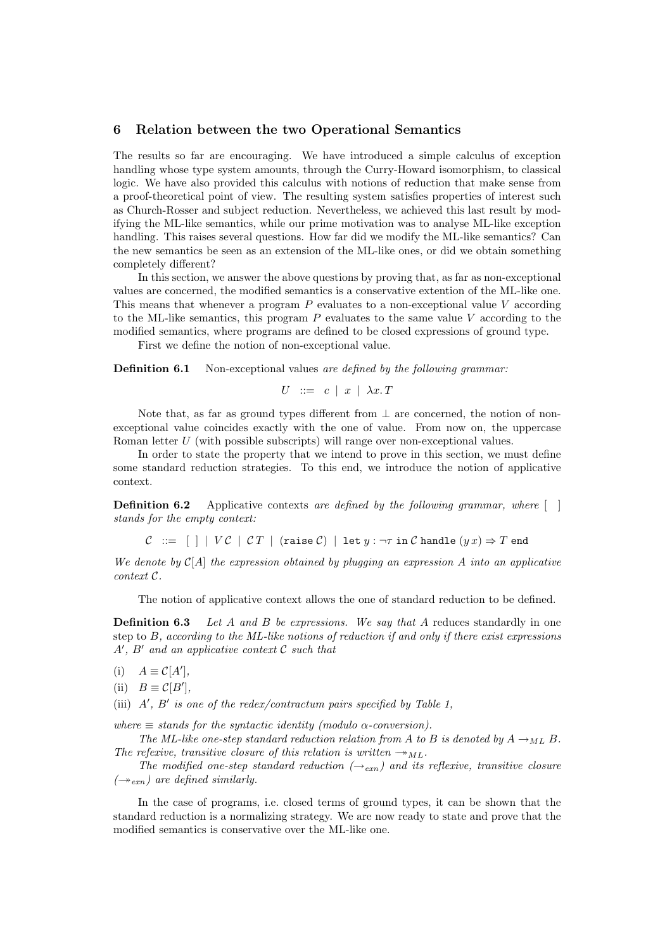#### 6 Relation between the two Operational Semantics

The results so far are encouraging. We have introduced a simple calculus of exception handling whose type system amounts, through the Curry-Howard isomorphism, to classical logic. We have also provided this calculus with notions of reduction that make sense from a proof-theoretical point of view. The resulting system satisfies properties of interest such as Church-Rosser and subject reduction. Nevertheless, we achieved this last result by modifying the ML-like semantics, while our prime motivation was to analyse ML-like exception handling. This raises several questions. How far did we modify the ML-like semantics? Can the new semantics be seen as an extension of the ML-like ones, or did we obtain something completely different?

In this section, we answer the above questions by proving that, as far as non-exceptional values are concerned, the modified semantics is a conservative extention of the ML-like one. This means that whenever a program  $P$  evaluates to a non-exceptional value  $V$  according to the ML-like semantics, this program  $P$  evaluates to the same value  $V$  according to the modified semantics, where programs are defined to be closed expressions of ground type.

First we define the notion of non-exceptional value.

**Definition 6.1** Non-exceptional values are defined by the following grammar:

$$
U \ ::= \ c \ | \ x \ | \ \lambda x \cdot T
$$

Note that, as far as ground types different from  $\perp$  are concerned, the notion of nonexceptional value coincides exactly with the one of value. From now on, the uppercase Roman letter U (with possible subscripts) will range over non-exceptional values.

In order to state the property that we intend to prove in this section, we must define some standard reduction strategies. To this end, we introduce the notion of applicative context.

**Definition 6.2** Applicative contexts are defined by the following grammar, where  $\lceil \ \rceil$ stands for the empty context:

 $\mathcal{C}$  ::=  $\begin{bmatrix} \end{bmatrix}$  |  $V\mathcal{C}$  |  $\mathcal{C}T$  | (raise  $\mathcal{C}$ ) | let  $y : \neg \tau$  in  $\mathcal{C}$  handle  $(yx) \Rightarrow T$  end

We denote by  $C[A]$  the expression obtained by plugging an expression A into an applicative context C.

The notion of applicative context allows the one of standard reduction to be defined.

**Definition 6.3** Let A and B be expressions. We say that A reduces standardly in one step to  $B$ , according to the ML-like notions of reduction if and only if there exist expressions  $A', B'$  and an applicative context  $C$  such that

- (i)  $A \equiv \mathcal{C}[A'],$
- (ii)  $B \equiv \mathcal{C}[B'],$
- (iii)  $A'$ ,  $B'$  is one of the redex/contractum pairs specified by Table 1,

where  $\equiv$  stands for the syntactic identity (modulo  $\alpha$ -conversion).

The ML-like one-step standard reduction relation from A to B is denoted by  $A \rightarrow_{ML} B$ . The refexive, transitive closure of this relation is written  $\rightarrow M_{LL}$ .

The modified one-step standard reduction  $(\rightarrow_{exn})$  and its reflexive, transitive closure  $(\rightarrow e_{xx})$  are defined similarly.

In the case of programs, i.e. closed terms of ground types, it can be shown that the standard reduction is a normalizing strategy. We are now ready to state and prove that the modified semantics is conservative over the ML-like one.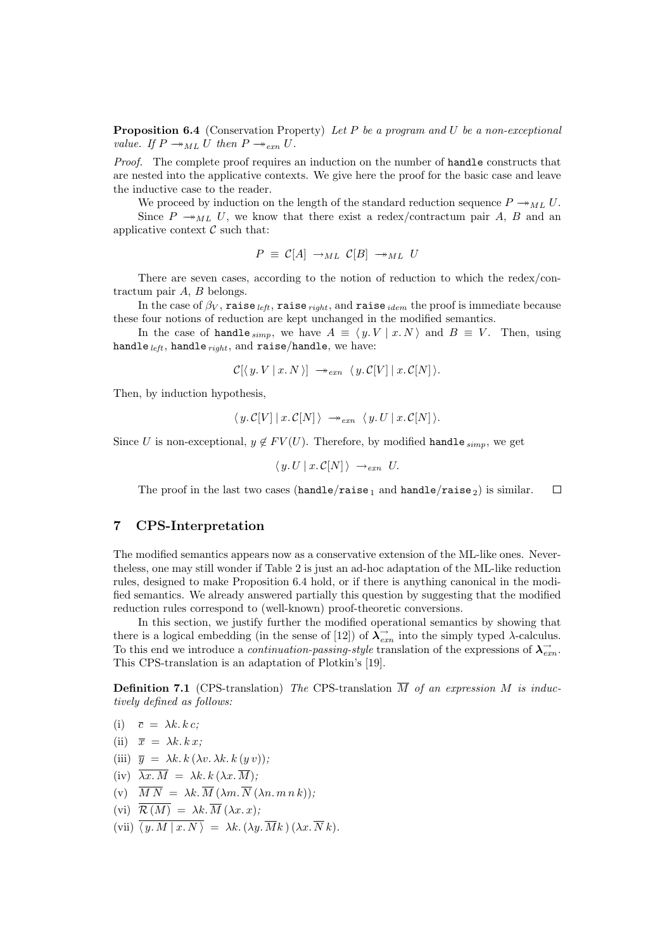**Proposition 6.4** (Conservation Property) Let P be a program and U be a non-exceptional value. If  $P \rightarrow_{ML} U$  then  $P \rightarrow_{exn} U$ .

Proof. The complete proof requires an induction on the number of handle constructs that are nested into the applicative contexts. We give here the proof for the basic case and leave the inductive case to the reader.

We proceed by induction on the length of the standard reduction sequence  $P \rightarrow_{ML} U$ .

Since  $P \rightarrow_{ML} U$ , we know that there exist a redex/contractum pair A, B and an applicative context  $\mathcal C$  such that:

$$
P \equiv \mathcal{C}[A] \rightarrow_{ML} \mathcal{C}[B] \rightarrow_{ML} U
$$

There are seven cases, according to the notion of reduction to which the redex/contractum pair A, B belongs.

In the case of  $\beta_V$ , raise <sub>left</sub>, raise <sub>right</sub>, and raise <sub>idem</sub> the proof is immediate because these four notions of reduction are kept unchanged in the modified semantics.

In the case of handle  $s_{imp}$ , we have  $A \equiv \langle y. V | x. N \rangle$  and  $B \equiv V$ . Then, using handle  $_{left}$ , handle  $_{right}$ , and raise/handle, we have:

$$
\mathcal{C}[\langle y. V | x. N \rangle] \rightarrow_{exn} \langle y. \mathcal{C}[V] | x. \mathcal{C}[N] \rangle.
$$

Then, by induction hypothesis,

$$
\langle y. C[V] | x. C[N] \rangle \rightarrow_{exn} \langle y. U | x. C[N] \rangle.
$$

Since U is non-exceptional,  $y \notin FV(U)$ . Therefore, by modified handle  $_{simp}$ , we get

$$
\langle y. U | x. C[N] \rangle \rightarrow_{exn} U.
$$

The proof in the last two cases (handle/raise<sub>1</sub> and handle/raise<sub>2</sub>) is similar.  $\Box$ 

## 7 CPS-Interpretation

The modified semantics appears now as a conservative extension of the ML-like ones. Nevertheless, one may still wonder if Table 2 is just an ad-hoc adaptation of the ML-like reduction rules, designed to make Proposition 6.4 hold, or if there is anything canonical in the modified semantics. We already answered partially this question by suggesting that the modified reduction rules correspond to (well-known) proof-theoretic conversions.

In this section, we justify further the modified operational semantics by showing that there is a logical embedding (in the sense of [12]) of  $\overrightarrow{\lambda_{exn}}$  into the simply typed  $\lambda$ -calculus. To this end we introduce a *continuation-passing-style* translation of the expressions of  $\lambda_{exn}^{\rightarrow}$ . This CPS-translation is an adaptation of Plotkin's [19].

**Definition 7.1** (CPS-translation) The CPS-translation  $\overline{M}$  of an expression M is inductively defined as follows:

(i) 
$$
\overline{c} = \lambda k. k c;
$$

- (ii)  $\overline{x} = \lambda k. k x$ ;
- (iii)  $\overline{y} = \lambda k \cdot k (\lambda v \cdot \lambda k \cdot k (y v));$
- (iv)  $\overline{\lambda x.M} = \lambda k.k(\lambda x.\overline{M});$
- (v)  $\overline{M N} = \lambda k \cdot \overline{M} (\lambda m \cdot \overline{N} (\lambda n \cdot m n k));$
- (vi)  $\overline{\mathcal{R}(M)} = \lambda k \cdot \overline{M}(\lambda x \cdot x);$
- (vii)  $\overline{\langle y. M | x. N \rangle} = \lambda k. (\lambda y. \overline{M} k) (\lambda x. \overline{N} k).$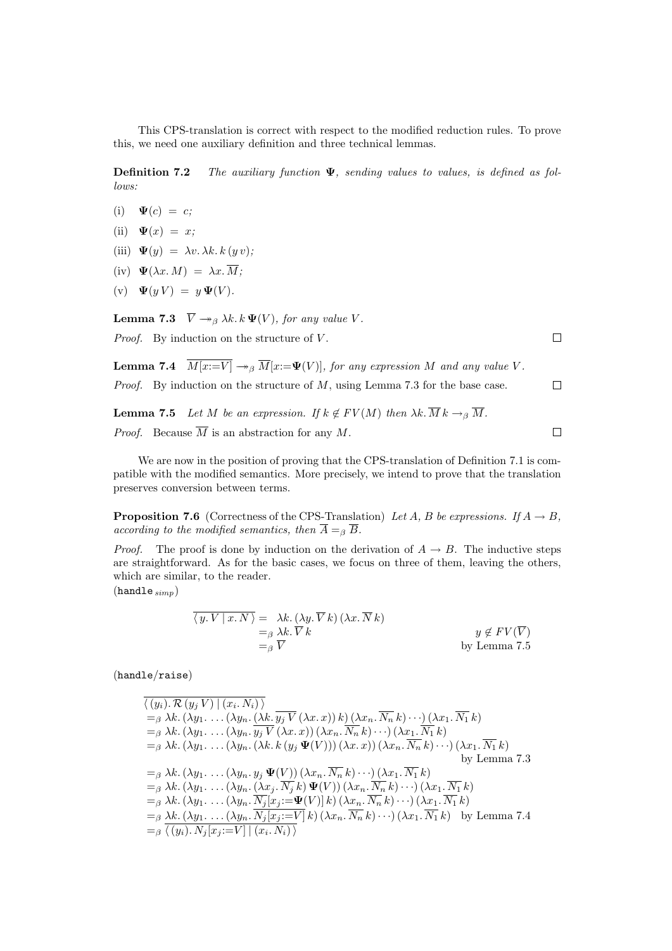This CPS-translation is correct with respect to the modified reduction rules. To prove this, we need one auxiliary definition and three technical lemmas.

**Definition 7.2** The auxiliary function  $\Psi$ , sending values to values, is defined as follows:

- (i)  $\Psi(c) = c$ ;
- (ii)  $\Psi(x) = x$ ;
- (iii)  $\Psi(y) = \lambda v \cdot \lambda k \cdot k(yv);$
- (iv)  $\Psi(\lambda x, M) = \lambda x, \overline{M}$ ;
- (v)  $\mathbf{\Psi}(y V) = y \mathbf{\Psi}(V)$ .

**Lemma 7.3**  $\overline{V} \rightarrow_{\beta} \lambda k. k \Psi(V)$ , for any value V.

Proof. By induction on the structure of V.

**Lemma 7.4**  $\overline{M[x:=V]} \rightarrow_{\beta} \overline{M}[x:=\Psi(V)]$ , for any expression M and any value V. *Proof.* By induction on the structure of  $M$ , using Lemma 7.3 for the base case.

**Lemma 7.5** Let M be an expression. If  $k \notin FV(M)$  then  $\lambda k \cdot \overline{M} k \rightarrow_{\beta} \overline{M}$ . *Proof.* Because  $\overline{M}$  is an abstraction for any M.

We are now in the position of proving that the CPS-translation of Definition 7.1 is compatible with the modified semantics. More precisely, we intend to prove that the translation preserves conversion between terms.

**Proposition 7.6** (Correctness of the CPS-Translation) Let A, B be expressions. If  $A \rightarrow B$ , according to the modified semantics, then  $\overline{A} = B$ .

*Proof.* The proof is done by induction on the derivation of  $A \rightarrow B$ . The inductive steps are straightforward. As for the basic cases, we focus on three of them, leaving the others, which are similar, to the reader.

 $(handle_{simp})$ 

$$
\overline{\langle y. V | x. N \rangle} = \lambda k. (\lambda y. \overline{V} k) (\lambda x. \overline{N} k)
$$
  
=  $\beta \lambda k. \overline{V} k$   
=  $\beta \overline{V}$   
by Lemma 7.5

(handle/raise)

 $\langle (y_i) \mathcal{R} (y_j V) | (x_i \mathcal{N}_i) \rangle$  $=\beta \lambda k.(\lambda y_1 \ldots (\lambda y_n.(\lambda k.\overline{y_j V}(\lambda x. x)) k)(\lambda x_n.\overline{N_n} k)\cdots)(\lambda x_1.\overline{N_1} k)$  $=\beta \lambda k.(\lambda y_1 \ldots (\lambda y_n \cdot \overline{y_j \, V} \, (\lambda x. \, x)) \, (\lambda x_n \cdot \overline{N_n} \, k) \cdots) \, (\lambda x_1 \cdot \overline{N_1} \, k)$  $=\beta \lambda k.(\lambda y_1 \ldots (\lambda y_n.(\lambda k. k (y_i \Psi(V))))(\lambda x. x)) (\lambda x_n. \overline{N_n} k) \cdots) (\lambda x_1. \overline{N_1} k)$ by Lemma 7.3  $=$ <sub>β</sub> λk. (λy<sub>1</sub>. . . . (λy<sub>n</sub>. y<sub>j</sub>  $\Psi(V)$ ) (λx<sub>n</sub>.  $\overline{N_n}$ k) · · ·) (λx<sub>1</sub>.  $\overline{N_1}$ k)  $=_{\beta}\lambda k.\left(\lambda y_1 \ldots \left(\lambda y_n\right) \left(\lambda x_j \cdot \overline{N_j} k\right) \Psi(V)\right)\left(\lambda x_n \cdot \overline{N_n} k\right) \cdots \left(\lambda x_1 \cdot \overline{N_1} k\right)$  $=\beta \lambda k.(\lambda y_1 \ldots (\lambda y_n.\overline{N_j}[x_j :=\Psi(V)] k) (\lambda x_n.\overline{N_n} k) \cdots) (\lambda x_1.\overline{N_1} k)$  $=\beta \lambda k.(\lambda y_1 \ldots (\lambda y_n N_j [x_j := V] k) (\lambda x_n N_n k) \cdots ) (\lambda x_1 N_k k)$  by Lemma 7.4  $=_{\beta} \langle (y_i) \cdot N_j [x_j := V] | (x_i, N_i) \rangle$ 

 $\Box$ 

 $\Box$ 

 $\Box$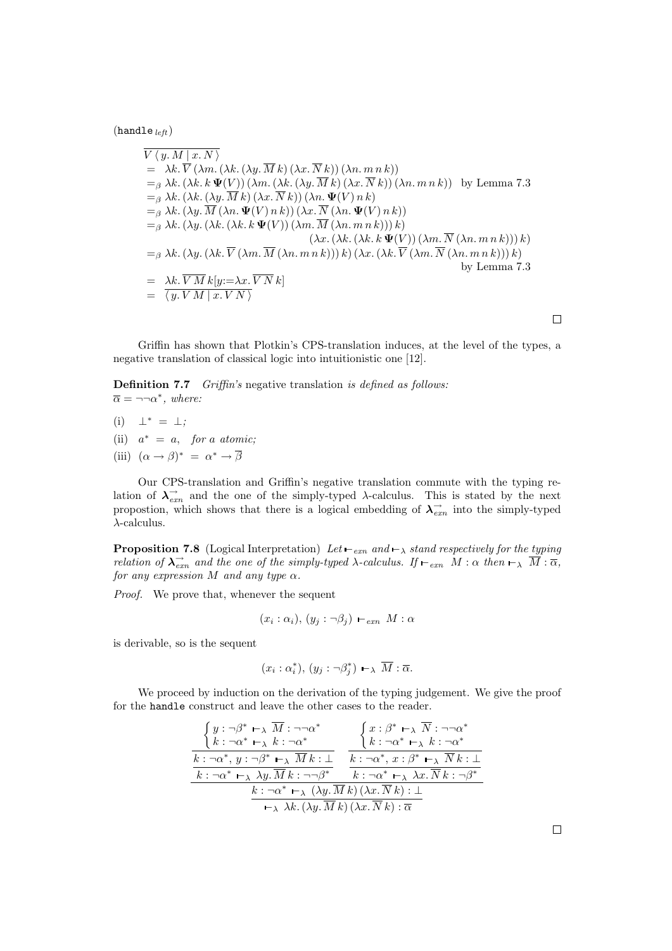$(handle<sub>left</sub>)$ 

$$
V(y, M | x, N)
$$
  
\n
$$
= \lambda k. \overline{V}(\lambda m. (\lambda k. (\lambda y. \overline{M} k) (\lambda x. \overline{N} k)) (\lambda n. m n k))
$$
  
\n
$$
=_{\beta} \lambda k. (\lambda k. k \Psi(V)) (\lambda m. (\lambda k. (\lambda y. \overline{M} k) (\lambda x. \overline{N} k)) (\lambda n. m n k))
$$
 by Lemma 7.3  
\n
$$
=_{\beta} \lambda k. (\lambda k. (\lambda y. \overline{M} k) (\lambda x. \overline{N} k)) (\lambda n. \Psi(V) n k)
$$
  
\n
$$
=_{\beta} \lambda k. (\lambda y. \overline{M} (\lambda n. \Psi(V) n k)) (\lambda x. \overline{N} (\lambda n. \Psi(V) n k))
$$
  
\n
$$
=_{\beta} \lambda k. (\lambda y. (\lambda k. (\lambda k. k \Psi(V)) (\lambda m. \overline{M} (\lambda n. m n k))) k)
$$
  
\n
$$
=_{\beta} \lambda k. (\lambda y. (\lambda k. \overline{V} (\lambda m. \overline{M} (\lambda n. m n k))) k) (\lambda x. (\lambda k. \overline{V} (\lambda m. \overline{N} (\lambda n. m n k))) k)
$$
  
\n
$$
=_{\beta} \lambda k. \overline{V M} k [y := \lambda x. \overline{V N} k]
$$
  
\n
$$
= \frac{\lambda k. \overline{V M} k [y := \lambda x. \overline{V N} k]}{(y. \overline{V M} | x. \overline{V N}}]
$$

Griffin has shown that Plotkin's CPS-translation induces, at the level of the types, a negative translation of classical logic into intuitionistic one [12].

Definition 7.7 Griffin's negative translation is defined as follows:  $\overline{\alpha} = \neg \neg \alpha^*, \text{ where:}$ 

- $(i) \perp^* = \perp;$
- (ii)  $a^* = a$ , for a atomic;
- (iii)  $(\alpha \rightarrow \beta)^* = \alpha^* \rightarrow \overline{\beta}$

Our CPS-translation and Griffin's negative translation commute with the typing relation of  $\lambda_{exn}$  and the one of the simply-typed  $\lambda$ -calculus. This is stated by the next propostion, which shows that there is a logical embedding of  $\lambda_{exn}$  into the simply-typed  $\lambda$ -calculus.

**Proposition 7.8** (Logical Interpretation) Let  $\vdash_{\text{can}}$  and  $\vdash_{\lambda}$  stand respectively for the typing relation of  $\lambda_{exn}^-$  and the one of the simply-typed  $\lambda$ -calculus. If  $\vdash_{exn} M : \alpha$  then  $\vdash_{\lambda} \overline{M} : \overline{\alpha}$ , for any expression M and any type  $\alpha$ .

Proof. We prove that, whenever the sequent

$$
(x_i : \alpha_i), (y_j : \neg \beta_j) \vdash_{\mathit{exn}} M : \alpha
$$

is derivable, so is the sequent

$$
(x_i : \alpha_i^*), (y_j : \neg \beta_j^*) \vdash_{\lambda} \overline{M} : \overline{\alpha}.
$$

We proceed by induction on the derivation of the typing judgement. We give the proof for the handle construct and leave the other cases to the reader.

$$
\frac{\begin{cases}\ny : \neg \beta^* \vdash_{\lambda} \overline{M} : \neg \alpha^* \\
k : \neg \alpha^* \vdash_{\lambda} k : \neg \alpha^* \\
\hline\n\frac{k : \neg \alpha^* \vdash_{\lambda} k : \neg \alpha^*}{k : \neg \alpha^* \vdash_{\lambda} \overline{M} k : \bot} \\
\hline\n\frac{k : \neg \alpha^* \vdash_{\lambda} \lambda y. \overline{M} k : \neg \beta^*}{k : \neg \alpha^* \vdash_{\lambda} \lambda x. \overline{N} k : \neg \beta^*} \\
\hline\n\frac{k : \neg \alpha^* \vdash_{\lambda} \lambda y. \overline{M} k : \neg \gamma^*}{k : \neg \alpha^* \vdash_{\lambda} \lambda x. \overline{N} k : \neg \beta^*} \\
\hline\n\frac{k : \neg \alpha^* \vdash_{\lambda} \langle \lambda y. \overline{M} k \rangle (\lambda x. \overline{N} k) : \bot}{\vdash_{\lambda} \lambda k. (\lambda y. \overline{M} k) (\lambda x. \overline{N} k) : \overline{\alpha}}\n\end{cases}
$$

 $\Box$ 

 $\Box$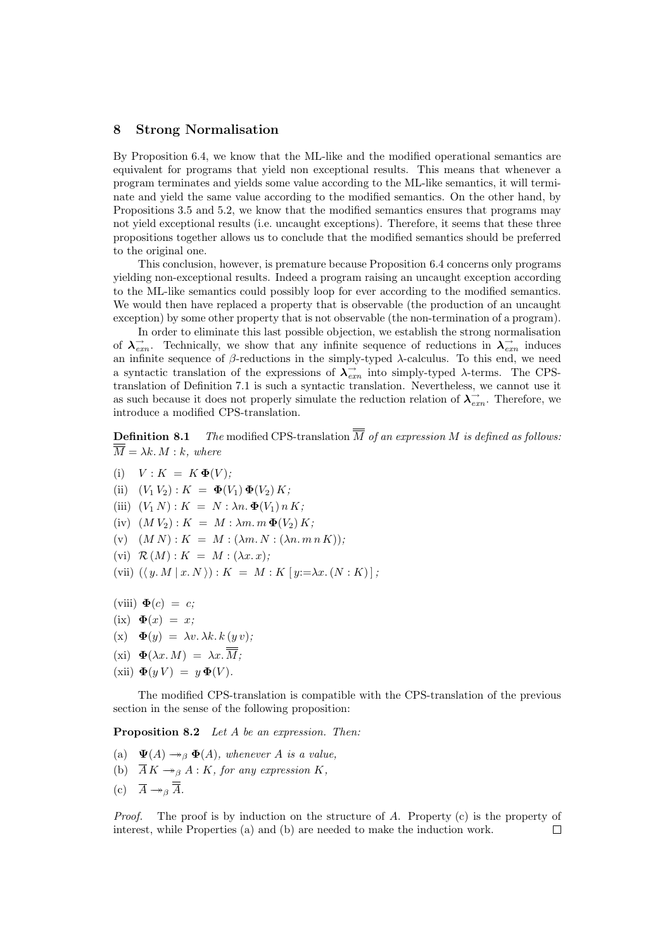#### 8 Strong Normalisation

By Proposition 6.4, we know that the ML-like and the modified operational semantics are equivalent for programs that yield non exceptional results. This means that whenever a program terminates and yields some value according to the ML-like semantics, it will terminate and yield the same value according to the modified semantics. On the other hand, by Propositions 3.5 and 5.2, we know that the modified semantics ensures that programs may not yield exceptional results (i.e. uncaught exceptions). Therefore, it seems that these three propositions together allows us to conclude that the modified semantics should be preferred to the original one.

This conclusion, however, is premature because Proposition 6.4 concerns only programs yielding non-exceptional results. Indeed a program raising an uncaught exception according to the ML-like semantics could possibly loop for ever according to the modified semantics. We would then have replaced a property that is observable (the production of an uncaught exception) by some other property that is not observable (the non-termination of a program).

In order to eliminate this last possible objection, we establish the strong normalisation of  $\lambda_{exn}$ . Technically, we show that any infinite sequence of reductions in  $\lambda_{exn}$  induces an infinite sequence of  $\beta$ -reductions in the simply-typed  $\lambda$ -calculus. To this end, we need a syntactic translation of the expressions of  $\lambda_{exn}$  into simply-typed  $\lambda$ -terms. The CPStranslation of Definition 7.1 is such a syntactic translation. Nevertheless, we cannot use it as such because it does not properly simulate the reduction relation of  $\lambda_{exn}^{\rightarrow}$ . Therefore, we introduce a modified CPS-translation.

**Definition 8.1** The modified CPS-translation  $\overline{\overline{M}}$  of an expression M is defined as follows:  $\overline{\overline{M}} = \lambda k. M : k$ , where

(i)  $V: K = K \Phi(V);$ (ii)  $(V_1 V_2) : K = \Phi(V_1) \Phi(V_2) K;$ (iii)  $(V_1 N)$ :  $K = N$ :  $\lambda n \cdot \mathbf{\Phi}(V_1) n K$ ; (iv)  $(M V_2) : K = M : \lambda m. m \Phi(V_2) K;$ (v)  $(M N) : K = M : (\lambda m. N : (\lambda n. m n K))$ ; (vi)  $\mathcal{R}(M): K = M : (\lambda x. x);$ (vii)  $(\langle y. M | x. N \rangle) : K = M : K [ y:=\lambda x. (N : K) ]$ ;

(viii)  $\Phi(c) = c$ ;  $(ix)$   $\Phi(x) = x;$ (x)  $\Phi(y) = \lambda v \cdot \lambda k \cdot k(yv);$ (xi)  $\Phi(\lambda x. M) = \lambda x. \overline{\overline{M}};$ (xii)  $\Phi(yV) = y \Phi(V)$ .

The modified CPS-translation is compatible with the CPS-translation of the previous section in the sense of the following proposition:

Proposition 8.2 Let A be an expression. Then:

- (a)  $\Psi(A) \rightarrow_{\beta} \Phi(A)$ , whenever A is a value,
- (b)  $\overline{A} K \rightarrow_{\beta} A : K$ , for any expression K,
- (c)  $\overline{A} \rightarrow_{\beta} \overline{\overline{A}}$ .

*Proof.* The proof is by induction on the structure of  $A$ . Property (c) is the property of interest, while Properties (a) and (b) are needed to make the induction work. $\Box$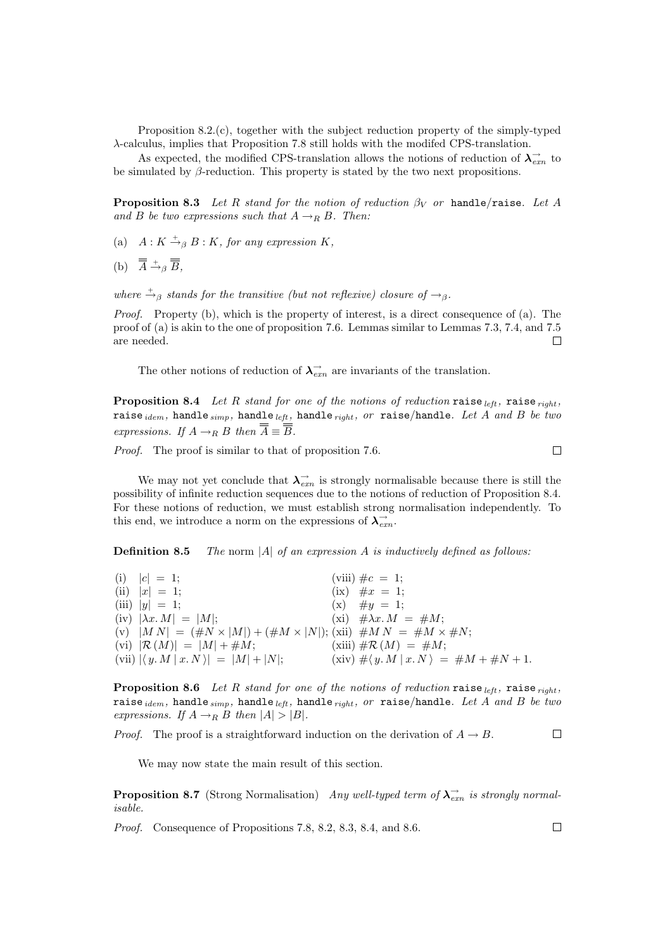Proposition 8.2.(c), together with the subject reduction property of the simply-typed λ-calculus, implies that Proposition 7.8 still holds with the modifed CPS-translation.

As expected, the modified CPS-translation allows the notions of reduction of  $\lambda_{\text{exn}}^{\rightarrow}$  to be simulated by  $\beta$ -reduction. This property is stated by the two next propositions.

**Proposition 8.3** Let R stand for the notion of reduction  $\beta_V$  or handle/raise. Let A and B be two expressions such that  $A \rightarrow_R B$ . Then:

- (a)  $A: K \stackrel{+}{\rightarrow}_{\beta} B: K$ , for any expression K,
- (b)  $\overline{A} \stackrel{+}{\rightarrow} {}_{\beta} \overline{B}$ ,

where  $\stackrel{+}{\rightarrow}_{\beta}$  stands for the transitive (but not reflexive) closure of  $\rightarrow_{\beta}$ .

*Proof.* Property (b), which is the property of interest, is a direct consequence of (a). The proof of (a) is akin to the one of proposition 7.6. Lemmas similar to Lemmas 7.3, 7.4, and 7.5 are needed.  $\Box$ 

The other notions of reduction of  $\lambda_{exn}^-$  are invariants of the translation.

**Proposition 8.4** Let R stand for one of the notions of reduction raise  $_{left}$ , raise  $_{right}$ , raise  $_{idem}$ , handle  $_{simp}$ , handle  $_{left}$ , handle  $_{right}$ , or raise/handle. Let A and B be two expressions. If  $A \rightarrow_R B$  then  $\overline{A} \equiv \overline{B}$ .

Proof. The proof is similar to that of proposition 7.6.

 $\Box$ 

We may not yet conclude that  $\lambda_{exn}^{\rightarrow}$  is strongly normalisable because there is still the possibility of infinite reduction sequences due to the notions of reduction of Proposition 8.4. For these notions of reduction, we must establish strong normalisation independently. To this end, we introduce a norm on the expressions of  $\lambda_{exn}^{-}$ .

**Definition 8.5** The norm |A| of an expression A is inductively defined as follows:

(i)  $|c| = 1;$  (viii)  $\#c = 1;$ (ii)  $|x| = 1;$  (ix)  $\#x = 1;$ (iii)  $|y| = 1;$  (x)  $\#y = 1;$ (iv)  $|\lambda x.M| = |M|;$  (xi)  $\#\lambda x.M = \#M;$ (v)  $|M N| = (\#N \times |M|) + (\#M \times |N|)$ ; (xii)  $\#MN = \#M \times \#N$ ; (vi)  $|\mathcal{R}(M)| = |M| + #M;$ <br>
(vii)  $|\langle y. M | x. N \rangle| = |M| + |N|;$ <br>
(xiv)  $\# \langle y. M | x. N \rangle =$  $(\dot{x} \dot{v}) \ddot{=} \ddot{x} \dot{y} \dot{M} | x. \ddot{N} \dot{v} = #M + #N + 1.$ 

**Proposition 8.6** Let R stand for one of the notions of reduction raise  $_{left}$ , raise  $_{right}$ , raise  $_{idem}$ , handle  $_{simp}$ , handle  $_{left}$ , handle  $_{right}$ , or raise/handle. Let A and B be two expressions. If  $A \rightarrow_R B$  then  $|A| > |B|$ .

*Proof.* The proof is a straightforward induction on the derivation of  $A \rightarrow B$ .

 $\Box$ 

 $\Box$ 

We may now state the main result of this section.

**Proposition 8.7** (Strong Normalisation) Any well-typed term of  $\lambda_{exn} \to \infty$  is strongly normalisable.

Proof. Consequence of Propositions 7.8, 8.2, 8.3, 8.4, and 8.6.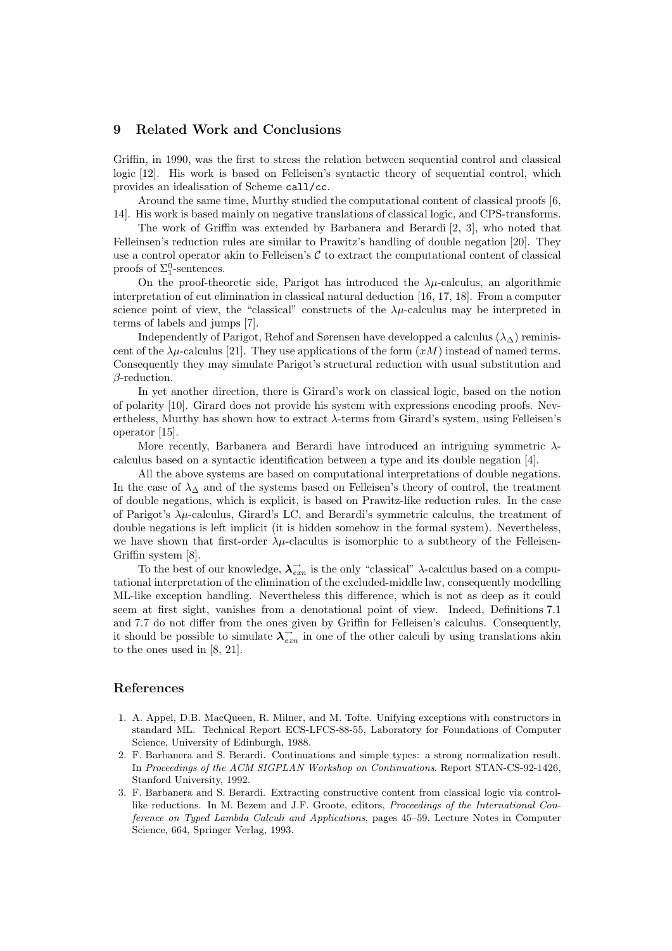#### 9 Related Work and Conclusions

Griffin, in 1990, was the first to stress the relation between sequential control and classical logic [12]. His work is based on Felleisen's syntactic theory of sequential control, which provides an idealisation of Scheme call/cc.

Around the same time, Murthy studied the computational content of classical proofs [6, 14]. His work is based mainly on negative translations of classical logic, and CPS-transforms.

The work of Griffin was extended by Barbanera and Berardi [2, 3], who noted that Felleinsen's reduction rules are similar to Prawitz's handling of double negation [20]. They use a control operator akin to Felleisen's  $\mathcal C$  to extract the computational content of classical proofs of  $\Sigma_1^0$ -sentences.

On the proof-theoretic side, Parigot has introduced the  $\lambda \mu$ -calculus, an algorithmic interpretation of cut elimination in classical natural deduction [16, 17, 18]. From a computer science point of view, the "classical" constructs of the  $\lambda\mu$ -calculus may be interpreted in terms of labels and jumps [7].

Independently of Parigot, Rehof and Sørensen have developped a calculus  $(\lambda_{\Delta})$  reminiscent of the  $\lambda \mu$ -calculus [21]. They use applications of the form  $(xM)$  instead of named terms. Consequently they may simulate Parigot's structural reduction with usual substitution and β-reduction.

In yet another direction, there is Girard's work on classical logic, based on the notion of polarity [10]. Girard does not provide his system with expressions encoding proofs. Nevertheless, Murthy has shown how to extract  $\lambda$ -terms from Girard's system, using Felleisen's operator [15].

More recently, Barbanera and Berardi have introduced an intriguing symmetric  $\lambda$ calculus based on a syntactic identification between a type and its double negation [4].

All the above systems are based on computational interpretations of double negations. In the case of  $\lambda_{\Delta}$  and of the systems based on Felleisen's theory of control, the treatment of double negations, which is explicit, is based on Prawitz-like reduction rules. In the case of Parigot's  $\lambda \mu$ -calculus, Girard's LC, and Berardi's symmetric calculus, the treatment of double negations is left implicit (it is hidden somehow in the formal system). Nevertheless, we have shown that first-order  $\lambda \mu$ -claculus is isomorphic to a subtheory of the Felleisen-Griffin system [8].

To the best of our knowledge,  $\lambda_{exn}^{\rightarrow}$  is the only "classical"  $\lambda$ -calculus based on a computational interpretation of the elimination of the excluded-middle law, consequently modelling ML-like exception handling. Nevertheless this difference, which is not as deep as it could seem at first sight, vanishes from a denotational point of view. Indeed, Definitions 7.1 and 7.7 do not differ from the ones given by Griffin for Felleisen's calculus. Consequently, it should be possible to simulate  $\lambda_{exn}$  in one of the other calculi by using translations akin to the ones used in [8, 21].

#### References

- 1. A. Appel, D.B. MacQueen, R. Milner, and M. Tofte. Unifying exceptions with constructors in standard ML. Technical Report ECS-LFCS-88-55, Laboratory for Foundations of Computer Science, University of Edinburgh, 1988.
- 2. F. Barbanera and S. Berardi. Continuations and simple types: a strong normalization result. In Proceedings of the ACM SIGPLAN Workshop on Continuations. Report STAN-CS-92-1426, Stanford University, 1992.
- 3. F. Barbanera and S. Berardi. Extracting constructive content from classical logic via controllike reductions. In M. Bezem and J.F. Groote, editors, Proceedings of the International Conference on Typed Lambda Calculi and Applications, pages 45–59. Lecture Notes in Computer Science, 664, Springer Verlag, 1993.